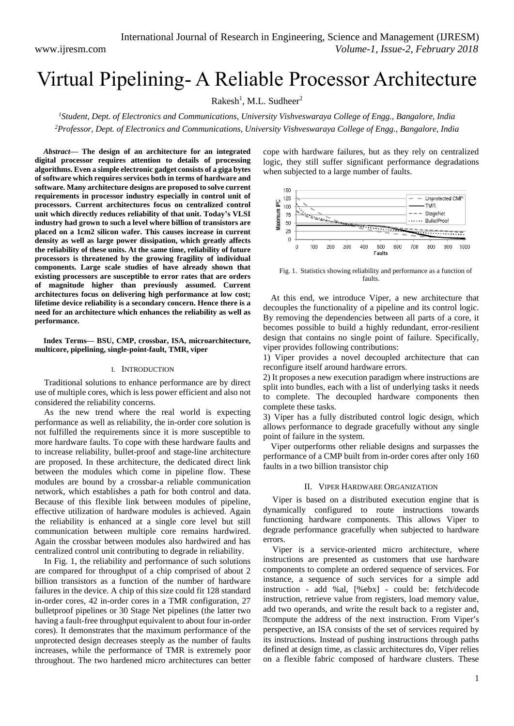# Virtual Pipelining- A Reliable Processor Architecture

Rakesh<sup>1</sup>, M.L. Sudheer<sup>2</sup>

*<sup>1</sup>Student, Dept. of Electronics and Communications, University Vishveswaraya College of Engg., Bangalore, India <sup>2</sup>Professor, Dept. of Electronics and Communications, University Vishveswaraya College of Engg., Bangalore, India*

*Abstract***— The design of an architecture for an integrated digital processor requires attention to details of processing algorithms. Even a simple electronic gadget consists of a giga bytes of software which requires services both in terms of hardware and software. Many architecture designs are proposed to solve current requirements in processor industry especially in control unit of processors. Current architectures focus on centralized control unit which directly reduces reliability of that unit. Today's VLSI industry had grown to such a level where billion of transistors are placed on a 1cm2 silicon wafer. This causes increase in current density as well as large power dissipation, which greatly affects the reliability of these units. At the same time, reliability of future processors is threatened by the growing fragility of individual components. Large scale studies of have already shown that existing processors are susceptible to error rates that are orders of magnitude higher than previously assumed. Current architectures focus on delivering high performance at low cost; lifetime device reliability is a secondary concern. Hence there is a need for an architecture which enhances the reliability as well as performance.**

**Index Terms— BSU, CMP, crossbar, ISA, microarchitecture, multicore, pipelining, single-point-fault, TMR, viper**

#### I. INTRODUCTION

Traditional solutions to enhance performance are by direct use of multiple cores, which is less power efficient and also not considered the reliability concerns.

As the new trend where the real world is expecting performance as well as reliability, the in-order core solution is not fulfilled the requirements since it is more susceptible to more hardware faults. To cope with these hardware faults and to increase reliability, bullet-proof and stage-line architecture are proposed. In these architecture, the dedicated direct link between the modules which come in pipeline flow. These modules are bound by a crossbar-a reliable communication network, which establishes a path for both control and data. Because of this flexible link between modules of pipeline, effective utilization of hardware modules is achieved. Again the reliability is enhanced at a single core level but still communication between multiple core remains hardwired. Again the crossbar between modules also hardwired and has centralized control unit contributing to degrade in reliability.

In Fig. 1, the reliability and performance of such solutions are compared for throughput of a chip comprised of about 2 billion transistors as a function of the number of hardware failures in the device. A chip of this size could fit 128 standard in-order cores, 42 in-order cores in a TMR configuration, 27 bulletproof pipelines or 30 Stage Net pipelines (the latter two having a fault-free throughput equivalent to about four in-order cores). It demonstrates that the maximum performance of the unprotected design decreases steeply as the number of faults increases, while the performance of TMR is extremely poor throughout. The two hardened micro architectures can better cope with hardware failures, but as they rely on centralized logic, they still suffer significant performance degradations when subjected to a large number of faults.



Fig. 1. Statistics showing reliability and performance as a function of faults.

At this end, we introduce Viper, a new architecture that decouples the functionality of a pipeline and its control logic. By removing the dependencies between all parts of a core, it becomes possible to build a highly redundant, error-resilient design that contains no single point of failure. Specifically, viper provides following contributions:

1) Viper provides a novel decoupled architecture that can reconfigure itself around hardware errors.

2) It proposes a new execution paradigm where instructions are split into bundles, each with a list of underlying tasks it needs to complete. The decoupled hardware components then complete these tasks.

3) Viper has a fully distributed control logic design, which allows performance to degrade gracefully without any single point of failure in the system.

Viper outperforms other reliable designs and surpasses the performance of a CMP built from in-order cores after only 160 faults in a two billion transistor chip

# II. VIPER HARDWARE ORGANIZATION

Viper is based on a distributed execution engine that is dynamically configured to route instructions towards functioning hardware components. This allows Viper to degrade performance gracefully when subjected to hardware errors.

Viper is a service-oriented micro architecture, where instructions are presented as customers that use hardware components to complete an ordered sequence of services. For instance, a sequence of such services for a simple add instruction - add %al, [%ebx] - could be: fetch/decode instruction, retrieve value from registers, load memory value, add two operands, and write the result back to a register and, "compute the address of the next instruction. From Viper's perspective, an ISA consists of the set of services required by its instructions. Instead of pushing instructions through paths defined at design time, as classic architectures do, Viper relies on a flexible fabric composed of hardware clusters. These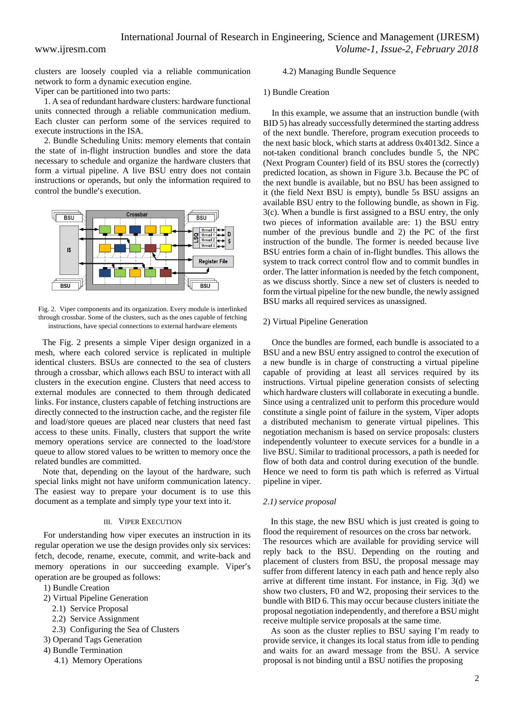clusters are loosely coupled via a reliable communication network to form a dynamic execution engine.

Viper can be partitioned into two parts:

1. A sea of redundant hardware clusters: hardware functional units connected through a reliable communication medium. Each cluster can perform some of the services required to execute instructions in the ISA.

2. Bundle Scheduling Units: memory elements that contain the state of in-flight instruction bundles and store the data necessary to schedule and organize the hardware clusters that form a virtual pipeline. A live BSU entry does not contain instructions or operands, but only the information required to control the bundle's execution.



Fig. 2. Viper components and its organization. Every module is interlinked through crossbar. Some of the clusters, such as the ones capable of fetching instructions, have special connections to external hardware elements

The Fig. 2 presents a simple Viper design organized in a mesh, where each colored service is replicated in multiple identical clusters. BSUs are connected to the sea of clusters through a crossbar, which allows each BSU to interact with all clusters in the execution engine. Clusters that need access to external modules are connected to them through dedicated links. For instance, clusters capable of fetching instructions are directly connected to the instruction cache, and the register file and load/store queues are placed near clusters that need fast access to these units. Finally, clusters that support the write memory operations service are connected to the load/store queue to allow stored values to be written to memory once the related bundles are committed.

Note that, depending on the layout of the hardware, such special links might not have uniform communication latency. The easiest way to prepare your document is to use this document as a template and simply type your text into it.

### III. VIPER EXECUTION

For understanding how viper executes an instruction in its regular operation we use the design provides only six services: fetch, decode, rename, execute, commit, and write-back and memory operations in our succeeding example. Viper's operation are be grouped as follows:

- 1) Bundle Creation
- 2) Virtual Pipeline Generation
	- 2.1) Service Proposal
	- 2.2) Service Assignment
	- 2.3) Configuring the Sea of Clusters
- 3) Operand Tags Generation
- 4) Bundle Termination
	- 4.1) Memory Operations

# 4.2) Managing Bundle Sequence

# 1) Bundle Creation

In this example, we assume that an instruction bundle (with BID 5) has already successfully determined the starting address of the next bundle. Therefore, program execution proceeds to the next basic block, which starts at address 0x4013d2. Since a not-taken conditional branch concludes bundle 5, the NPC (Next Program Counter) field of its BSU stores the (correctly) predicted location, as shown in Figure 3.b. Because the PC of the next bundle is available, but no BSU has been assigned to it (the field Next BSU is empty), bundle 5s BSU assigns an available BSU entry to the following bundle, as shown in Fig. 3(c). When a bundle is first assigned to a BSU entry, the only two pieces of information available are: 1) the BSU entry number of the previous bundle and 2) the PC of the first instruction of the bundle. The former is needed because live BSU entries form a chain of in-flight bundles. This allows the system to track correct control flow and to commit bundles in order. The latter information is needed by the fetch component, as we discuss shortly. Since a new set of clusters is needed to form the virtual pipeline for the new bundle, the newly assigned BSU marks all required services as unassigned.

# 2) Virtual Pipeline Generation

Once the bundles are formed, each bundle is associated to a BSU and a new BSU entry assigned to control the execution of a new bundle is in charge of constructing a virtual pipeline capable of providing at least all services required by its instructions. Virtual pipeline generation consists of selecting which hardware clusters will collaborate in executing a bundle. Since using a centralized unit to perform this procedure would constitute a single point of failure in the system, Viper adopts a distributed mechanism to generate virtual pipelines. This negotiation mechanism is based on service proposals: clusters independently volunteer to execute services for a bundle in a live BSU. Similar to traditional processors, a path is needed for flow of both data and control during execution of the bundle. Hence we need to form tis path which is referred as Virtual pipeline in viper.

### *2.1) service proposal*

In this stage, the new BSU which is just created is going to flood the requirement of resources on the cross bar network. The resources which are available for providing service will reply back to the BSU. Depending on the routing and placement of clusters from BSU, the proposal message may suffer from different latency in each path and hence reply also arrive at different time instant. For instance, in Fig. 3(d) we show two clusters, F0 and W2, proposing their services to the bundle with BID 6. This may occur because clusters initiate the proposal negotiation independently, and therefore a BSU might receive multiple service proposals at the same time.

As soon as the cluster replies to BSU saying I'm ready to provide service, it changes its local status from idle to pending and waits for an award message from the BSU. A service proposal is not binding until a BSU notifies the proposing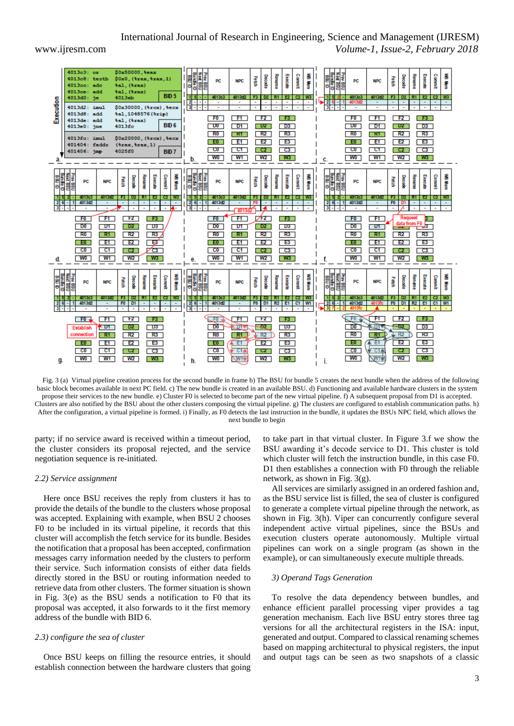# International Journal of Research in Engineering, Science and Management (IJRESM) www.ijresm.com *Volume-1, Issue-2, February 2018*

 $$0x50000, $e$ ax  $4013c3$  $$0x0, ($xax, $xax, 1)$$ <br> $$a1, ($xax)$ Depode W6 Mem Commit uray 8M Decode **Renam Permit** Kename Execut Commu **GILIOSE** 置 Execut  $4013c8:$ testh NPC **NPC**  $4013cc$ :  $_{\rm add}$ 4013ce:<br>4013d0: فالمعا 641 , (trax) **BID5** D2 R1 E2  $F3$ 4013d2  $D2$  $E$ W<sub>3</sub>  $4013<sub>cb</sub>$ he Execution  $\sim$  $4013d2: imul$ \$0x30000. (%rex). %ee tal, 1048576 (trip)  $4013d8: add$  $F0$  $H$  $F2$ DF3 0  $F0$  $F1$  $F2$ 00 F3 00 tal, (trax)  $40134$ add  $4013e0:$  $rac{1}{2}$  $40136$ BID<sub>6</sub>  $D<sub>0</sub>$  $D1$  $\mathbb{Z}$  DZ  $\mathbb{Z}$  $D3$  $D0$  $D1$  $\otimes$ DZ $\otimes$  $D3$  $R2$  $R<sub>0</sub>$  $R3$  $R<sub>0</sub>$  $R2$ SKIS. 8 K 1 S  $R3$ \$0x20000, (%xcx), %ecx  $4013fe$ : imul  $E2$  $E3$  $\mathbb{Z}$  EQ  $\mathbb{Z}$  $E1$  $E2$  $E3$  $\approx$  EO  $\approx$ - E1 - $401404 \cdot$  fadds  $(8xax, 8)$  $x.11$  $CT$  $\overline{\text{CO}}$  $\sim$  C2  $\sim$  $C3$  $-c_0$  $-$  C1 802 S  $\Box$ C3 401406: jmp **RID7** 4025 60  $W1$  $W1$ **WO**  $W<sub>2</sub>$  $W3$ **WO**  $W2$  $W3$ Commit **WB Mem** us New Execute **Sideway Rename** Execute Decode **Kename** Execute **Commit** Decode Commit Decode **BSI Rename** Fetch Fetch 置  $\mathbf{p}$ PO **NPC** PC NPC 図 罂 wa ws **MARKET** TR. R1 F2 ĸ w R1 F2 C2 - 197 wa 4013cf  $\overline{\phantom{0}}$  $-4013$  $F1$  $\sqrt{2}$ īн.  $F2$  $\mathbb{R}$  F3  $\mathbb{R}$ N 30  $F + 1$ **B** - FO F<sub>0</sub> F<sub>0</sub>  $D2$ **D2**  $\Box$ DO  $\Box$  $\Box$ D1  $\Box$  $\Box$ D1  $\Box$  $D<sub>0</sub>$ **D1** ls—  $R3$  $R<sub>0</sub>$ ास  $R2$  $R3/$  $R<sub>0</sub>$ ू<br>इ.स.  $R2$  $R3$  $R<sup>0</sup>$ **R13**  $R2$ Г  $\mathbb{E} \mathbf{E} \mathbf{0}$ **E1 E2** NEON  $E1$ **E2**  $\mathbb{E}[0]$  $F_{\rm H}$  $E2$ ΓΕΖ **E3**  $E3$ 

 $CT$ 

W<sub>1</sub>

**NPC** 

4013d2

 $\overline{\phantom{a}}$   $\overline{\phantom{a}}$ 

在卫怀

 $R1$ 

 $C1A$ 

A ET

 $\sim$  C2  $\sim$ 

 $W2$ 

Decode

 $F2$ 

 $-02$ 

 $FR2$ 

 $E2$ 

 $\mathbb{C}$ CZ $\mathbb{C}$ 

Fetch

**Kename** Execute Commit

FO D1 R2 E1 C1 W1

N 357

 $\overline{DB}$ 

 $R3$ 

 $E3$ 

 $\Box$ C3

 $\overline{C3}$ 

 $W3$ 

WB Mem

 $\overline{\phantom{1}}$  CO  $\overline{\phantom{1}}$ 

**WO** 

PC.

 $-1$  4013d2

 $-$ FO $\overline{ }$ 

 $\overline{D0}$ 

 $R<sub>0</sub>$ 

NEO N

 $CO$ 

 $2$ 



party; if no service award is received within a timeout period, the cluster considers its proposal rejected, and the service negotiation sequence is re-initiated.

#### *2.2) Service assignment*

 $C1$ 

**W1** 

**NPC** 

4013d2

 $F1$ 

\* ਯ

 $R1$ 

 $F$ 

 $C1$ 

C2 .

 $W2$ 

Decode

Fetch

FO D1

 $F2$ 

**D2** 

 $R2$ 

 $E2$ 

 $\sim$  CZ  $\sim$ 

∕टउ

 $W3$ 

**Execute** Commit WB Mem

2 R1 E2 C2

**TF3** 

 $\overline{DB}$ 

 $R3$ 

 $E3$ 

 $C3$ 

| W3

**Rename** 

 $-c<sub>0</sub>$ 

**WO** 

**PC** 

FO<sub>x</sub>

onnection

NEO N

 $CO$ 

**Establish** 

d.

Here once BSU receives the reply from clusters it has to provide the details of the bundle to the clusters whose proposal was accepted. Explaining with example, when BSU 2 chooses F0 to be included in its virtual pipeline, it records that this cluster will accomplish the fetch service for its bundle. Besides the notification that a proposal has been accepted, confirmation messages carry information needed by the clusters to perform their service. Such information consists of either data fields directly stored in the BSU or routing information needed to retrieve data from other clusters. The former situation is shown in Fig. 3(e) as the BSU sends a notification to F0 that its proposal was accepted, it also forwards to it the first memory address of the bundle with BID 6.

# *2.3) configure the sea of cluster*

Once BSU keeps on filling the resource entries, it should establish connection between the hardware clusters that going

to take part in that virtual cluster. In Figure 3.f we show the BSU awarding it's decode service to D1. This cluster is told which cluster will fetch the instruction bundle, in this case F0. D1 then establishes a connection with F0 through the reliable network, as shown in Fig. 3(g).

C<sub>0</sub>

**WO** 

DC

1 4013d

 $\sqrt{}$ F0

 $DD0$ 

 $R<sub>0</sub>$ 

 $E_0$ 

 $\overline{c}$ 

 $CT$ 

 $W1$ 

**NDC** 

 $\sqrt{H}$ 

 $+11$ 

 $R1$ 

ΈT

 $C1$ 

 $\sim$  C2  $\sim$ 

 $W2$ 

Decode Rename

ŝ

 $F0$  D1

 $F2$ 

 $-12$ 

 $R2$ 

 $E2$ 

 $C2$ 

 $\overline{C3}$ 

 $W3$ 

Execute

 $D3$ 

 $R3$ 

 $E3$ 

 $C3$ 

R<sub>2</sub> | E1 | C1 | W1

Commit

ā

Î

All services are similarly assigned in an ordered fashion and, as the BSU service list is filled, the sea of cluster is configured to generate a complete virtual pipeline through the network, as shown in Fig. 3(h). Viper can concurrently configure several independent active virtual pipelines, since the BSUs and execution clusters operate autonomously. Multiple virtual pipelines can work on a single program (as shown in the example), or can simultaneously execute multiple threads.

#### *3) Operand Tags Generation*

To resolve the data dependency between bundles, and enhance efficient parallel processing viper provides a tag generation mechanism. Each live BSU entry stores three tag versions for all the architectural registers in the ISA: input, generated and output. Compared to classical renaming schemes based on mapping architectural to physical registers, the input and output tags can be seen as two snapshots of a classic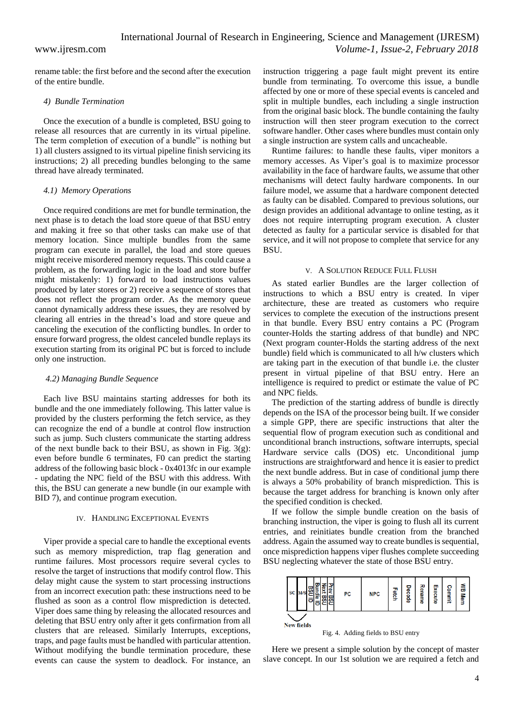# International Journal of Research in Engineering, Science and Management (IJRESM) www.ijresm.com *Volume-1, Issue-2, February 2018*

rename table: the first before and the second after the execution of the entire bundle.

#### *4) Bundle Termination*

Once the execution of a bundle is completed, BSU going to release all resources that are currently in its virtual pipeline. The term completion of execution of a bundle" is nothing but 1) all clusters assigned to its virtual pipeline finish servicing its instructions; 2) all preceding bundles belonging to the same thread have already terminated.

#### *4.1) Memory Operations*

Once required conditions are met for bundle termination, the next phase is to detach the load store queue of that BSU entry and making it free so that other tasks can make use of that memory location. Since multiple bundles from the same program can execute in parallel, the load and store queues might receive misordered memory requests. This could cause a problem, as the forwarding logic in the load and store buffer might mistakenly: 1) forward to load instructions values produced by later stores or 2) receive a sequence of stores that does not reflect the program order. As the memory queue cannot dynamically address these issues, they are resolved by clearing all entries in the thread's load and store queue and canceling the execution of the conflicting bundles. In order to ensure forward progress, the oldest canceled bundle replays its execution starting from its original PC but is forced to include only one instruction.

#### *4.2) Managing Bundle Sequence*

Each live BSU maintains starting addresses for both its bundle and the one immediately following. This latter value is provided by the clusters performing the fetch service, as they can recognize the end of a bundle at control flow instruction such as jump. Such clusters communicate the starting address of the next bundle back to their BSU, as shown in Fig. 3(g): even before bundle 6 terminates, F0 can predict the starting address of the following basic block - 0x4013fc in our example - updating the NPC field of the BSU with this address. With this, the BSU can generate a new bundle (in our example with BID 7), and continue program execution.

#### IV. HANDLING EXCEPTIONAL EVENTS

Viper provide a special care to handle the exceptional events such as memory misprediction, trap flag generation and runtime failures. Most processors require several cycles to resolve the target of instructions that modify control flow. This delay might cause the system to start processing instructions from an incorrect execution path: these instructions need to be flushed as soon as a control flow misprediction is detected. Viper does same thing by releasing the allocated resources and deleting that BSU entry only after it gets confirmation from all clusters that are released. Similarly Interrupts, exceptions, traps, and page faults must be handled with particular attention. Without modifying the bundle termination procedure, these events can cause the system to deadlock. For instance, an instruction triggering a page fault might prevent its entire bundle from terminating. To overcome this issue, a bundle affected by one or more of these special events is canceled and split in multiple bundles, each including a single instruction from the original basic block. The bundle containing the faulty instruction will then steer program execution to the correct software handler. Other cases where bundles must contain only a single instruction are system calls and uncacheable.

Runtime failures: to handle these faults, viper monitors a memory accesses. As Viper's goal is to maximize processor availability in the face of hardware faults, we assume that other mechanisms will detect faulty hardware components. In our failure model, we assume that a hardware component detected as faulty can be disabled. Compared to previous solutions, our design provides an additional advantage to online testing, as it does not require interrupting program execution. A cluster detected as faulty for a particular service is disabled for that service, and it will not propose to complete that service for any BSU.

### V. A SOLUTION REDUCE FULL FLUSH

As stated earlier Bundles are the larger collection of instructions to which a BSU entry is created. In viper architecture, these are treated as customers who require services to complete the execution of the instructions present in that bundle. Every BSU entry contains a PC (Program counter-Holds the starting address of that bundle) and NPC (Next program counter-Holds the starting address of the next bundle) field which is communicated to all h/w clusters which are taking part in the execution of that bundle i.e. the cluster present in virtual pipeline of that BSU entry. Here an intelligence is required to predict or estimate the value of PC and NPC fields.

The prediction of the starting address of bundle is directly depends on the ISA of the processor being built. If we consider a simple GPP, there are specific instructions that alter the sequential flow of program execution such as conditional and unconditional branch instructions, software interrupts, special Hardware service calls (DOS) etc. Unconditional jump instructions are straightforward and hence it is easier to predict the next bundle address. But in case of conditional jump there is always a 50% probability of branch misprediction. This is because the target address for branching is known only after the specified condition is checked.

If we follow the simple bundle creation on the basis of branching instruction, the viper is going to flush all its current entries, and reinitiates bundle creation from the branched address. Again the assumed way to create bundles is sequential, once misprediction happens viper flushes complete succeeding BSU neglecting whatever the state of those BSU entry.



Here we present a simple solution by the concept of master slave concept. In our 1st solution we are required a fetch and